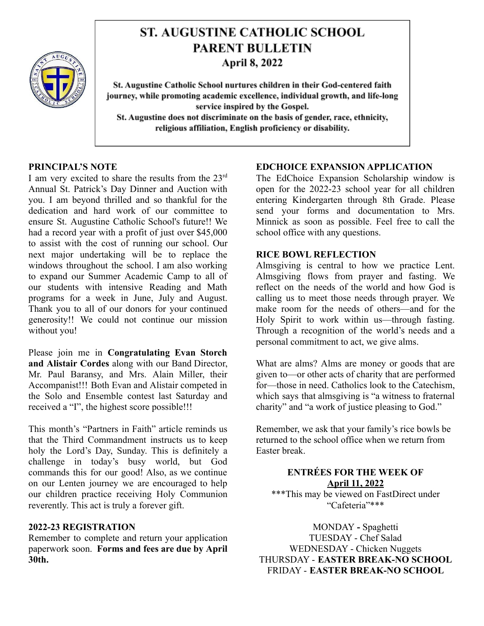

# **ST. AUGUSTINE CATHOLIC SCHOOL PARENT BULLETIN April 8, 2022**

St. Augustine Catholic School nurtures children in their God-centered faith journey, while promoting academic excellence, individual growth, and life-long service inspired by the Gospel. St. Augustine does not discriminate on the basis of gender, race, ethnicity, religious affiliation, English proficiency or disability.

#### **PRINCIPAL'S NOTE**

I am very excited to share the results from the 23rd Annual St. Patrick's Day Dinner and Auction with you. I am beyond thrilled and so thankful for the dedication and hard work of our committee to ensure St. Augustine Catholic School's future!! We had a record year with a profit of just over \$45,000 to assist with the cost of running our school. Our next major undertaking will be to replace the windows throughout the school. I am also working to expand our Summer Academic Camp to all of our students with intensive Reading and Math programs for a week in June, July and August. Thank you to all of our donors for your continued generosity!! We could not continue our mission without you!

Please join me in **Congratulating Evan Storch and Alistair Cordes** along with our Band Director, Mr. Paul Baransy, and Mrs. Alain Miller, their Accompanist!!! Both Evan and Alistair competed in the Solo and Ensemble contest last Saturday and received a "I", the highest score possible!!!

This month's "Partners in Faith" article reminds us that the Third Commandment instructs us to keep holy the Lord's Day, Sunday. This is definitely a challenge in today's busy world, but God commands this for our good! Also, as we continue on our Lenten journey we are encouraged to help our children practice receiving Holy Communion reverently. This act is truly a forever gift.

### **2022-23 REGISTRATION**

Remember to complete and return your application paperwork soon. **Forms and fees are due by April 30th.**

#### **EDCHOICE EXPANSION APPLICATION**

The EdChoice Expansion Scholarship window is open for the 2022-23 school year for all children entering Kindergarten through 8th Grade. Please send your forms and documentation to Mrs. Minnick as soon as possible. Feel free to call the school office with any questions.

#### **RICE BOWL REFLECTION**

Almsgiving is central to how we practice Lent. Almsgiving flows from prayer and fasting. We reflect on the needs of the world and how God is calling us to meet those needs through prayer. We make room for the needs of others—and for the Holy Spirit to work within us—through fasting. Through a recognition of the world's needs and a personal commitment to act, we give alms.

What are alms? Alms are money or goods that are given to—or other acts of charity that are performed for—those in need. Catholics look to the Catechism, which says that almsgiving is "a witness to fraternal charity" and "a work of justice pleasing to God."

Remember, we ask that your family's rice bowls be returned to the school office when we return from Easter break.

# **ENTRÉES FOR THE WEEK OF April 11, 2022**

\*\*\*This may be viewed on FastDirect under "Cafeteria"\*\*\*

MONDAY **-** Spaghetti TUESDAY - Chef Salad WEDNESDAY - Chicken Nuggets THURSDAY - **EASTER BREAK-NO SCHOOL** FRIDAY - **EASTER BREAK-NO SCHOOL**